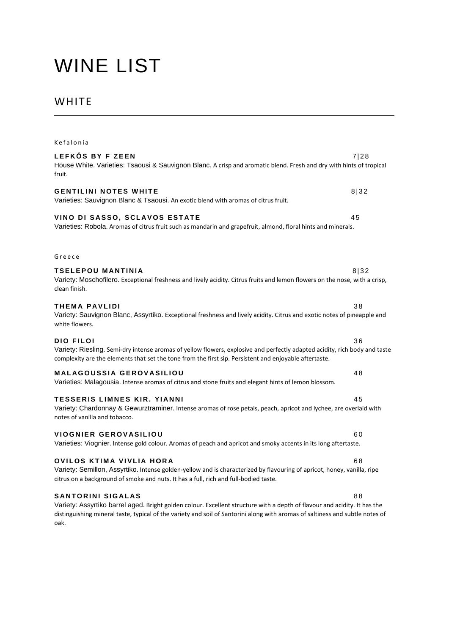# WINE LIST

# WHITE

| Kefalonia                                                                                                                                                                                                                                                                                      |      |
|------------------------------------------------------------------------------------------------------------------------------------------------------------------------------------------------------------------------------------------------------------------------------------------------|------|
| LEFKÓS BY F ZEEN<br>House White. Varieties: Tsaousi & Sauvignon Blanc. A crisp and aromatic blend. Fresh and dry with hints of tropical<br>fruit.                                                                                                                                              | 7 28 |
| <b>GENTILINI NOTES WHITE</b><br>Varieties: Sauvignon Blanc & Tsaousi. An exotic blend with aromas of citrus fruit.                                                                                                                                                                             | 8 32 |
| VINO DI SASSO, SCLAVOS ESTATE<br>Varieties: Robola. Aromas of citrus fruit such as mandarin and grapefruit, almond, floral hints and minerals.                                                                                                                                                 | 45   |
| Greece                                                                                                                                                                                                                                                                                         |      |
| <b>TSELEPOU MANTINIA</b><br>Variety: Moschofilero. Exceptional freshness and lively acidity. Citrus fruits and lemon flowers on the nose, with a crisp,<br>clean finish.                                                                                                                       | 8 32 |
| <b>THEMA PAVLIDI</b><br>Variety: Sauvignon Blanc, Assyrtiko. Exceptional freshness and lively acidity. Citrus and exotic notes of pineapple and<br>white flowers.                                                                                                                              | 38   |
| <b>DIO FILOI</b><br>Variety: Riesling. Semi-dry intense aromas of yellow flowers, explosive and perfectly adapted acidity, rich body and taste<br>complexity are the elements that set the tone from the first sip. Persistent and enjoyable aftertaste.                                       | 36   |
| <b>MALAGOUSSIA GEROVASILIOU</b><br>Varieties: Malagousia. Intense aromas of citrus and stone fruits and elegant hints of lemon blossom.                                                                                                                                                        | 48   |
| <b>TESSERIS LIMNES KIR. YIANNI</b><br>Variety: Chardonnay & Gewurztraminer. Intense aromas of rose petals, peach, apricot and lychee, are overlaid with<br>notes of vanilla and tobacco.                                                                                                       | 45   |
| <b>VIOGNIER GEROVASILIOU</b><br>Varieties: Viognier. Intense gold colour. Aromas of peach and apricot and smoky accents in its long aftertaste.                                                                                                                                                | 60   |
| <b>OVILOS KTIMA VIVLIA HORA</b><br>Variety: Semillon, Assyrtiko. Intense golden-yellow and is characterized by flavouring of apricot, honey, vanilla, ripe<br>citrus on a background of smoke and nuts. It has a full, rich and full-bodied taste.                                             | 68   |
| <b>SANTORINI SIGALAS</b><br>Variety: Assyrtiko barrel aged. Bright golden colour. Excellent structure with a depth of flavour and acidity. It has the<br>distinguishing mineral taste, typical of the variety and soil of Santorini along with aromas of saltiness and subtle notes of<br>oak. | 88   |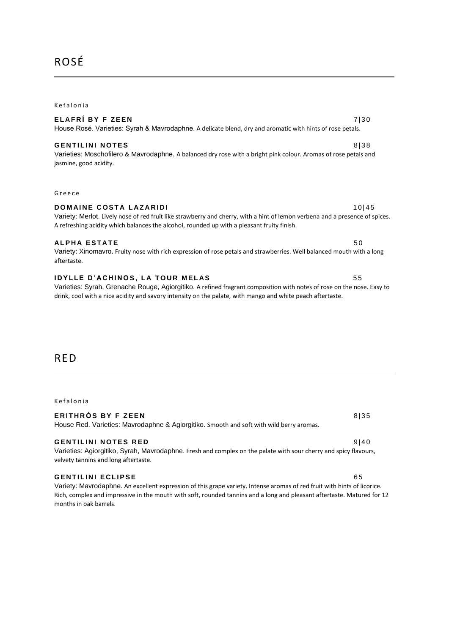# ROSÉ

#### **Kefalonia**

#### **E L A F R Í B Y F Z E E N** 7 | 3 0 House Rosé. Varieties: Syrah & Mavrodaphne. A delicate blend, dry and aromatic with hints of rose petals.

#### **G E N T I L I N I N O T E S** 8 | 3 8

Varieties: Moschofilero & Mavrodaphne. A balanced dry rose with a bright pink colour. Aromas of rose petals and jasmine, good acidity.

A refreshing acidity which balances the alcohol, rounded up with a pleasant fruity finish.

G r e e c e

#### **DOMAINE COSTA LAZARIDI 10 | 45**

### **ALPHA ESTATE** 50

Variety: Xinomavro. Fruity nose with rich expression of rose petals and strawberries. Well balanced mouth with a long aftertaste.

#### **IDYLLE D'ACHINOS, LA TOUR MELAS 65**

Varieties: Syrah, Grenache Rouge, Agiorgitiko. A refined fragrant composition with notes of rose on the nose. Easy to drink, cool with a nice acidity and savory intensity on the palate, with mango and white peach aftertaste.

Variety: Merlot. Lively nose of red fruit like strawberry and cherry, with a hint of lemon verbena and a presence of spices.

## RED

#### **Kefalonia**

| ERITHRÓS BY F ZEEN                                                                       | 8135 |
|------------------------------------------------------------------------------------------|------|
| House Red. Varieties: Mavrodaphne & Agiorgitiko. Smooth and soft with wild berry aromas. |      |

### **GENTILINI NOTES RED** 9140

#### Varieties: Agiorgitiko, Syrah, Mavrodaphne. Fresh and complex on the palate with sour cherry and spicy flavours, velvety tannins and long aftertaste.

#### **GENTILINI ECLIPSE** 65

Variety: Mavrodaphne. An excellent expression of this grape variety. Intense aromas of red fruit with hints of licorice. Rich, complex and impressive in the mouth with soft, rounded tannins and a long and pleasant aftertaste. Matured for 12 months in oak barrels.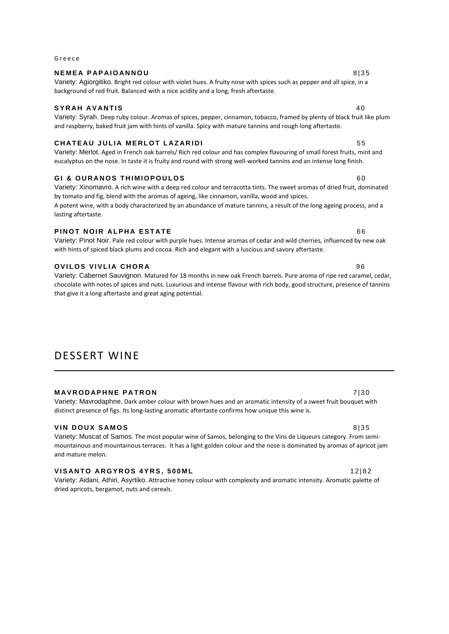### **NEMEA PAPAIOANNOU A 1999 8135**

Variety: Agiorgitiko. Bright red colour with violet hues. A fruity nose with spices such as pepper and all spice, in a background of red fruit. Balanced with a nice acidity and a long, fresh aftertaste.

#### **SYRAH AVANTIS** 40

G r e e c e

Variety: Syrah. Deep ruby colour. Aromas of spices, pepper, cinnamon, tobacco, framed by plenty of black fruit like plum and raspberry, baked fruit jam with hints of vanilla. Spicy with mature tannins and rough long aftertaste.

### **C H A T E A U J U L I A M E R L O T L A Z A R I D I** 5 5

Variety: Merlot. Aged in French oak barrels/ Rich red colour and has complex flavouring of small forest fruits, mint and eucalyptus on the nose. In taste it is fruity and round with strong well-worked tannins and an intense long finish.

### **GI & OURANOS THIMIOPOULOS** 60

Variety: Xinomavro. A rich wine with a deep red colour and terracotta tints. The sweet aromas of dried fruit, dominated by tomato and fig, blend with the aromas of ageing, like cinnamon, vanilla, wood and spices. A potent wine, with a body characterized by an abundance of mature tannins, a result of the long ageing process, and a lasting aftertaste.

### **PINOT NOIR ALPHA ESTATE** 66

Variety: Pinot Noir. Pale red colour with purple hues. Intense aromas of cedar and wild cherries, influenced by new oak with hints of spiced black plums and cocoa. Rich and elegant with a luscious and savory aftertaste.

### **OVILOS VIVLIA CHORA 96**

Variety: Cabernet Sauvignon. Matured for 18 months in new oak French barrels. Pure aroma of ripe red caramel, cedar, chocolate with notes of spices and nuts. Luxurious and intense flavour with rich body, good structure, presence of tannins that give it a long aftertaste and great aging potential.

# DESSERT WINE

**MAVRODAPHNE PATRON 130** 

Variety: Mavrodaphne. Dark amber colour with brown hues and an aromatic intensity of a sweet fruit bouquet with distinct presence of figs. Its long-lasting aromatic aftertaste confirms how unique this wine is.

### **VIN DOUX SAMOS** 8135

Variety: Muscat of Samos. The most popular wine of Samos, belonging to the Vins de Liqueurs category. From semimountainous and mountainous terraces. It has a light golden colour and the nose is dominated by aromas of apricot jam and mature melon.

### **VISANTO ARGYROS 4YRS, 500ML 12|82**

Variety: Aidani, Athiri, Asyrtiko. Attractive honey colour with complexity and aromatic intensity. Aromatic palette of dried apricots, bergamot, nuts and cereals.